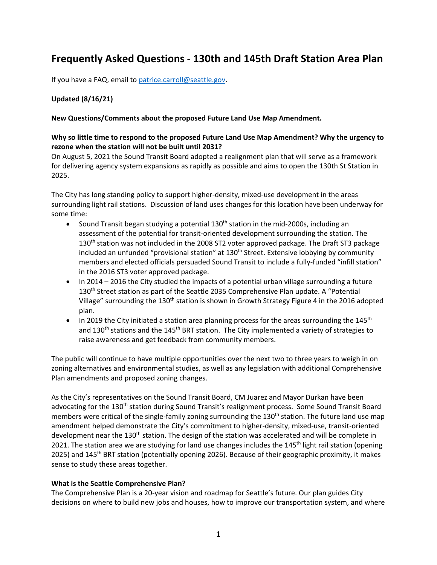# **Frequently Asked Questions - 130th and 145th Draft Station Area Plan**

If you have a FAQ, email to [patrice.carroll@seattle.gov.](mailto:patrice.carroll@seattle.gov)

## **Updated (8/16/21)**

#### **New Questions/Comments about the proposed Future Land Use Map Amendment.**

## **Why so little time to respond to the proposed Future Land Use Map Amendment? Why the urgency to rezone when the station will not be built until 2031?**

On August 5, 2021 the Sound Transit Board adopted a realignment plan that will serve as a framework for delivering agency system expansions as rapidly as possible and aims to open the 130th St Station in 2025.

The City has long standing policy to support higher-density, mixed-use development in the areas surrounding light rail stations. Discussion of land uses changes for this location have been underway for some time:

- Sound Transit began studying a potential  $130<sup>th</sup>$  station in the mid-2000s, including an assessment of the potential for transit-oriented development surrounding the station. The 130<sup>th</sup> station was not included in the 2008 ST2 voter approved package. The Draft ST3 package included an unfunded "provisional station" at  $130<sup>th</sup>$  Street. Extensive lobbying by community members and elected officials persuaded Sound Transit to include a fully-funded "infill station" in the 2016 ST3 voter approved package.
- In 2014 2016 the City studied the impacts of a potential urban village surrounding a future 130th Street station as part of the Seattle 2035 Comprehensive Plan update. A "Potential Village" surrounding the 130<sup>th</sup> station is shown in Growth Strategy Figure 4 in the 2016 adopted plan.
- In 2019 the City initiated a station area planning process for the areas surrounding the  $145<sup>th</sup>$ and  $130<sup>th</sup>$  stations and the  $145<sup>th</sup>$  BRT station. The City implemented a variety of strategies to raise awareness and get feedback from community members.

The public will continue to have multiple opportunities over the next two to three years to weigh in on zoning alternatives and environmental studies, as well as any legislation with additional Comprehensive Plan amendments and proposed zoning changes.

As the City's representatives on the Sound Transit Board, CM Juarez and Mayor Durkan have been advocating for the 130<sup>th</sup> station during Sound Transit's realignment process. Some Sound Transit Board members were critical of the single-family zoning surrounding the 130<sup>th</sup> station. The future land use map amendment helped demonstrate the City's commitment to higher-density, mixed-use, transit-oriented development near the 130<sup>th</sup> station. The design of the station was accelerated and will be complete in 2021. The station area we are studying for land use changes includes the 145<sup>th</sup> light rail station (opening 2025) and 145<sup>th</sup> BRT station (potentially opening 2026). Because of their geographic proximity, it makes sense to study these areas together.

#### **What is the Seattle Comprehensive Plan?**

The Comprehensive Plan is a 20-year vision and roadmap for Seattle's future. Our plan guides City decisions on where to build new jobs and houses, how to improve our transportation system, and where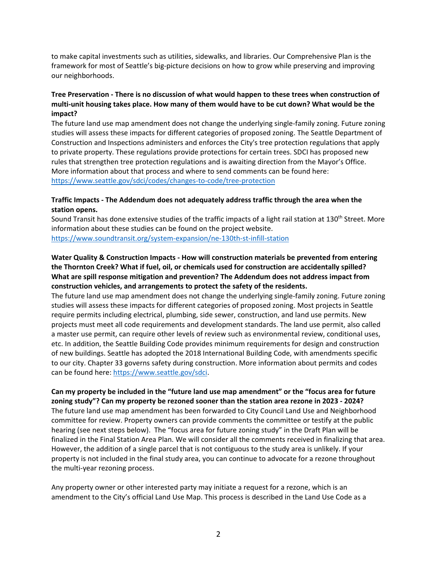to make capital investments such as utilities, sidewalks, and libraries. Our Comprehensive Plan is the framework for most of Seattle's big-picture decisions on how to grow while preserving and improving our neighborhoods.

# **Tree Preservation - There is no discussion of what would happen to these trees when construction of multi-unit housing takes place. How many of them would have to be cut down? What would be the impact?**

The future land use map amendment does not change the underlying single-family zoning. Future zoning studies will assess these impacts for different categories of proposed zoning. The Seattle Department of Construction and Inspections administers and enforces the City's tree protection regulations that apply to private property. These regulations provide protections for certain trees. SDCI has proposed new rules that strengthen tree protection regulations and is awaiting direction from the Mayor's Office. More information about that process and where to send comments can be found here: <https://www.seattle.gov/sdci/codes/changes-to-code/tree-protection>

#### **Traffic Impacts - The Addendum does not adequately address traffic through the area when the station opens.**

Sound Transit has done extensive studies of the traffic impacts of a light rail station at 130<sup>th</sup> Street. More information about these studies can be found on the project website. <https://www.soundtransit.org/system-expansion/ne-130th-st-infill-station>

# **Water Quality & Construction Impacts - How will construction materials be prevented from entering the Thornton Creek? What if fuel, oil, or chemicals used for construction are accidentally spilled? What are spill response mitigation and prevention? The Addendum does not address impact from construction vehicles, and arrangements to protect the safety of the residents.**

The future land use map amendment does not change the underlying single-family zoning. Future zoning studies will assess these impacts for different categories of proposed zoning. Most projects in Seattle require permits including electrical, plumbing, side sewer, construction, and land use permits. New projects must meet all code requirements and development standards. The land use permit, also called a master use permit, can require other levels of review such as environmental review, conditional uses, etc. In addition, the Seattle Building Code provides minimum requirements for design and construction of new buildings. Seattle has adopted the 2018 International Building Code, with amendments specific to our city. Chapter 33 governs safety during construction. More information about permits and codes can be found here: [https://www.seattle.gov/sdci.](https://www.seattle.gov/sdci)

#### **Can my property be included in the "future land use map amendment" or the "focus area for future zoning study"? Can my property be rezoned sooner than the station area rezone in 2023 - 2024?**

The future land use map amendment has been forwarded to City Council Land Use and Neighborhood committee for review. Property owners can provide comments the committee or testify at the public hearing (see next steps below). The "focus area for future zoning study" in the Draft Plan will be finalized in the Final Station Area Plan. We will consider all the comments received in finalizing that area. However, the addition of a single parcel that is not contiguous to the study area is unlikely. If your property is not included in the final study area, you can continue to advocate for a rezone throughout the multi-year rezoning process.

Any property owner or other interested party may initiate a request for a rezone, which is an amendment to the City's official Land Use Map. This process is described in the Land Use Code as a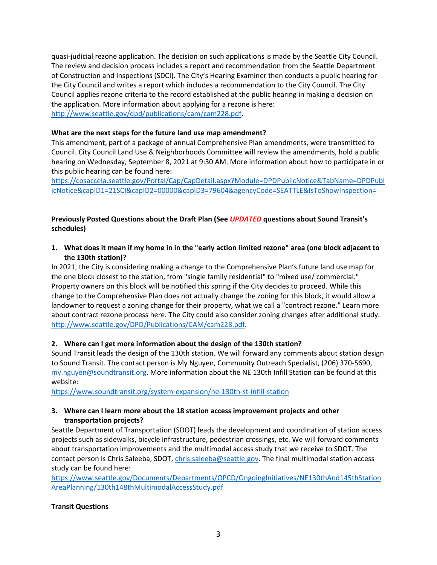quasi-judicial rezone application. The decision on such applications is made by the Seattle City Council. The review and decision process includes a report and recommendation from the Seattle Department of Construction and Inspections (SDCI). The City's Hearing Examiner then conducts a public hearing for the City Council and writes a report which includes a recommendation to the City Council. The City Council applies rezone criteria to the record established at the public hearing in making a decision on the application. More information about applying for a rezone is here: [http://www.seattle.gov/dpd/publications/cam/cam228.pdf.](http://www.seattle.gov/dpd/publications/cam/cam228.pdf)

#### **What are the next steps for the future land use map amendment?**

This amendment, part of a package of annual Comprehensive Plan amendments, were transmitted to Council. City Council Land Use & Neighborhoods Committee will review the amendments, hold a public hearing on Wednesday, September 8, 2021 at 9:30 AM. More information about how to participate in or this public hearing can be found here:

[https://cosaccela.seattle.gov/Portal/Cap/CapDetail.aspx?Module=DPDPublicNotice&TabName=DPDPubl](https://cosaccela.seattle.gov/Portal/Cap/CapDetail.aspx?Module=DPDPublicNotice&TabName=DPDPublicNotice&capID1=21SCI&capID2=00000&capID3=79604&agencyCode=SEATTLE&IsToShowInspection=) [icNotice&capID1=21SCI&capID2=00000&capID3=79604&agencyCode=SEATTLE&IsToShowInspection=](https://cosaccela.seattle.gov/Portal/Cap/CapDetail.aspx?Module=DPDPublicNotice&TabName=DPDPublicNotice&capID1=21SCI&capID2=00000&capID3=79604&agencyCode=SEATTLE&IsToShowInspection=)

# **Previously Posted Questions about the Draft Plan (See** *UPDATED* **questions about Sound Transit's schedules)**

**1. What does it mean if my home in in the "early action limited rezone" area (one block adjacent to the 130th station)?** 

In 2021, the City is considering making a change to the Comprehensive Plan's future land use map for the one block closest to the station, from "single family residential" to "mixed use/ commercial." Property owners on this block will be notified this spring if the City decides to proceed. While this change to the Comprehensive Plan does not actually change the zoning for this block, it would allow a landowner to request a zoning change for their property, what we call a "contract rezone." Learn more about contract rezone process here. The City could also consider zoning changes after additional study. [http://www.seattle.gov/DPD/Publications/CAM/cam228.pdf.](http://www.seattle.gov/DPD/Publications/CAM/cam228.pdf)

#### **2. Where can I get more information about the design of the 130th station?**

Sound Transit leads the design of the 130th station. We will forward any comments about station design to Sound Transit. The contact person is My Nguyen, Community Outreach Specialist, (206) 370-5690, [my.nguyen@soundtransit.org.](mailto:my.nguyen@soundtransit.org) More information about the NE 130th Infill Station can be found at this website:

<https://www.soundtransit.org/system-expansion/ne-130th-st-infill-station>

#### **3. Where can I learn more about the 18 station access improvement projects and other transportation projects?**

Seattle Department of Transportation (SDOT) leads the development and coordination of station access projects such as sidewalks, bicycle infrastructure, pedestrian crossings, etc. We will forward comments about transportation improvements and the multimodal access study that we receive to SDOT. The contact person is Chris Saleeba, SDOT, [chris.saleeba@seattle.gov.](mailto:chris.saleeba@seattle.gov) The final multimodal station access study can be found here:

[https://www.seattle.gov/Documents/Departments/OPCD/OngoingInitiatives/NE130thAnd145thStation](https://www.seattle.gov/Documents/Departments/OPCD/OngoingInitiatives/NE130thAnd145thStationAreaPlanning/130th148thMultimodalAccessStudy.pdf) [AreaPlanning/130th148thMultimodalAccessStudy.pdf](https://www.seattle.gov/Documents/Departments/OPCD/OngoingInitiatives/NE130thAnd145thStationAreaPlanning/130th148thMultimodalAccessStudy.pdf)

#### **Transit Questions**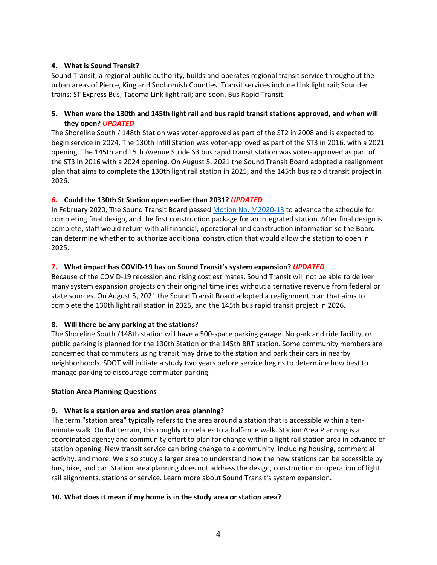## **4. What is Sound Transit?**

Sound Transit, a regional public authority, builds and operates regional transit service throughout the urban areas of Pierce, King and Snohomish Counties. Transit services include Link light rail; Sounder trains; ST Express Bus; Tacoma Link light rail; and soon, Bus Rapid Transit.

## **5. When were the 130th and 145th light rail and bus rapid transit stations approved, and when will they open?** *UPDATED*

The Shoreline South / 148th Station was voter-approved as part of the ST2 in 2008 and is expected to begin service in 2024. The 130th Infill Station was voter-approved as part of the ST3 in 2016, with a 2021 opening. The 145th and 15th Avenue Stride S3 bus rapid transit station was voter-approved as part of the ST3 in 2016 with a 2024 opening. On August 5, 2021 the Sound Transit Board adopted a realignment plan that aims to complete the 130th light rail station in 2025, and the 145th bus rapid transit project in 2026.

# *6.* **Could the 130th St Station open earlier than 2031?** *UPDATED*

In February 2020, The Sound Transit Board passe[d Motion No. M2020-13](https://www.soundtransit.org/st_sharepoint/download/sites/PRDA/FinalRecords/2020/Motion%20M2020-13-As%20forwarded%20by%20System%20Expansion%20Committee.pdf) to advance the schedule for completing final design, and the first construction package for an integrated station. After final design is complete, staff would return with all financial, operational and construction information so the Board can determine whether to authorize additional construction that would allow the station to open in 2025.

# **7. What impact has COVID-19 has on Sound Transit's system expansion?** *UPDATED*

Because of the COVID-19 recession and rising cost estimates, Sound Transit will not be able to deliver many system expansion projects on their original timelines without alternative revenue from federal or state sources. On August 5, 2021 the Sound Transit Board adopted a realignment plan that aims to complete the 130th light rail station in 2025, and the 145th bus rapid transit project in 2026.

# **8. Will there be any parking at the stations?**

The Shoreline South /148th station will have a 500-space parking garage. No park and ride facility, or public parking is planned for the 130th Station or the 145th BRT station. Some community members are concerned that commuters using transit may drive to the station and park their cars in nearby neighborhoods. SDOT will initiate a study two years before service begins to determine how best to manage parking to discourage commuter parking.

# **Station Area Planning Questions**

# **9. What is a station area and station area planning?**

The term "station area" typically refers to the area around a station that is accessible within a tenminute walk. On flat terrain, this roughly correlates to a half-mile walk. Station Area Planning is a coordinated agency and community effort to plan for change within a light rail station area in advance of station opening. New transit service can bring change to a community, including housing, commercial activity, and more. We also study a larger area to understand how the new stations can be accessible by bus, bike, and car. Station area planning does not address the design, construction or operation of light rail alignments, stations or service. Learn more about Sound Transit's system expansion.

#### **10. What does it mean if my home is in the study area or station area?**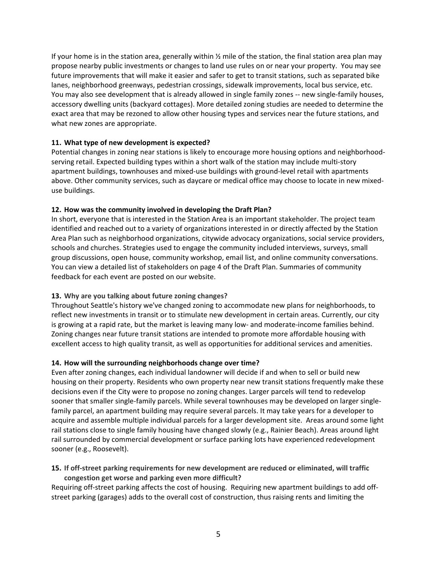If your home is in the station area, generally within  $\frac{1}{2}$  mile of the station, the final station area plan may propose nearby public investments or changes to land use rules on or near your property. You may see future improvements that will make it easier and safer to get to transit stations, such as separated bike lanes, neighborhood greenways, pedestrian crossings, sidewalk improvements, local bus service, etc. You may also see development that is already allowed in single family zones -- new single-family houses, accessory dwelling units (backyard cottages). More detailed zoning studies are needed to determine the exact area that may be rezoned to allow other housing types and services near the future stations, and what new zones are appropriate.

#### **11. What type of new development is expected?**

Potential changes in zoning near stations is likely to encourage more housing options and neighborhoodserving retail. Expected building types within a short walk of the station may include multi-story apartment buildings, townhouses and mixed-use buildings with ground-level retail with apartments above. Other community services, such as daycare or medical office may choose to locate in new mixeduse buildings.

#### **12. How was the community involved in developing the Draft Plan?**

In short, everyone that is interested in the Station Area is an important stakeholder. The project team identified and reached out to a variety of organizations interested in or directly affected by the Station Area Plan such as neighborhood organizations, citywide advocacy organizations, social service providers, schools and churches. Strategies used to engage the community included interviews, surveys, small group discussions, open house, community workshop, email list, and online community conversations. You can view a detailed list of stakeholders on page 4 of the Draft Plan. Summaries of community feedback for each event are posted on our website.

# **13. Why are you talking about future zoning changes?**

Throughout Seattle's history we've changed zoning to accommodate new plans for neighborhoods, to reflect new investments in transit or to stimulate new development in certain areas. Currently, our city is growing at a rapid rate, but the market is leaving many low- and moderate-income families behind. Zoning changes near future transit stations are intended to promote more affordable housing with excellent access to high quality transit, as well as opportunities for additional services and amenities.

# **14. How will the surrounding neighborhoods change over time?**

Even after zoning changes, each individual landowner will decide if and when to sell or build new housing on their property. Residents who own property near new transit stations frequently make these decisions even if the City were to propose no zoning changes. Larger parcels will tend to redevelop sooner that smaller single-family parcels. While several townhouses may be developed on larger singlefamily parcel, an apartment building may require several parcels. It may take years for a developer to acquire and assemble multiple individual parcels for a larger development site. Areas around some light rail stations close to single family housing have changed slowly (e.g., Rainier Beach). Areas around light rail surrounded by commercial development or surface parking lots have experienced redevelopment sooner (e.g., Roosevelt).

#### **15. If off-street parking requirements for new development are reduced or eliminated, will traffic congestion get worse and parking even more difficult?**

Requiring off-street parking affects the cost of housing. Requiring new apartment buildings to add offstreet parking (garages) adds to the overall cost of construction, thus raising rents and limiting the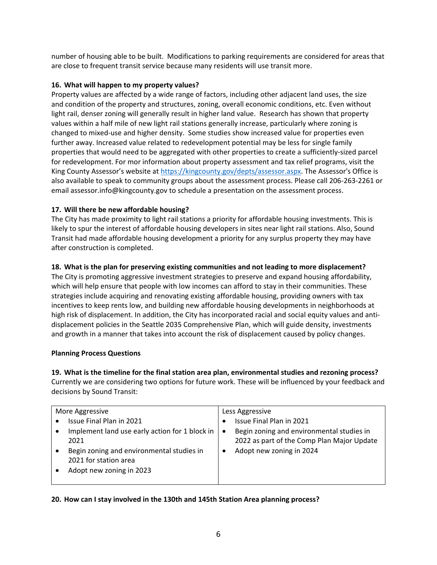number of housing able to be built. Modifications to parking requirements are considered for areas that are close to frequent transit service because many residents will use transit more.

## **16. What will happen to my property values?**

Property values are affected by a wide range of factors, including other adjacent land uses, the size and condition of the property and structures, zoning, overall economic conditions, etc. Even without light rail, denser zoning will generally result in higher land value. Research has shown that property values within a half mile of new light rail stations generally increase, particularly where zoning is changed to mixed-use and higher density. Some studies show increased value for properties even further away. Increased value related to redevelopment potential may be less for single family properties that would need to be aggregated with other properties to create a sufficiently-sized parcel for redevelopment. For mor information about property assessment and tax relief programs, visit the King County Assessor's website at [https://kingcounty.gov/depts/assessor.aspx.](https://kingcounty.gov/depts/assessor.aspx) The Assessor's Office is also available to speak to community groups about the assessment process. Please call 206-263-2261 or email assessor.info@kingcounty.gov to schedule a presentation on the assessment process.

# **17. Will there be new affordable housing?**

The City has made proximity to light rail stations a priority for affordable housing investments. This is likely to spur the interest of affordable housing developers in sites near light rail stations. Also, Sound Transit had made affordable housing development a priority for any surplus property they may have after construction is completed.

# **18. What is the plan for preserving existing communities and not leading to more displacement?**

The City is promoting aggressive investment strategies to preserve and expand housing affordability, which will help ensure that people with low incomes can afford to stay in their communities. These strategies include acquiring and renovating existing affordable housing, providing owners with tax incentives to keep rents low, and building new affordable housing developments in neighborhoods at high risk of displacement. In addition, the City has incorporated racial and social equity values and antidisplacement policies in the Seattle 2035 Comprehensive Plan, which will guide density, investments and growth in a manner that takes into account the risk of displacement caused by policy changes.

# **Planning Process Questions**

**19. What is the timeline for the final station area plan, environmental studies and rezoning process?** Currently we are considering two options for future work. These will be influenced by your feedback and decisions by Sound Transit:

| More Aggressive |                                                | Less Aggressive |                                            |
|-----------------|------------------------------------------------|-----------------|--------------------------------------------|
|                 | Issue Final Plan in 2021                       | ٠               | Issue Final Plan in 2021                   |
|                 | Implement land use early action for 1 block in | $\bullet$       | Begin zoning and environmental studies in  |
|                 | 2021                                           |                 | 2022 as part of the Comp Plan Major Update |
|                 | Begin zoning and environmental studies in      | ٠               | Adopt new zoning in 2024                   |
|                 | 2021 for station area                          |                 |                                            |
|                 | Adopt new zoning in 2023                       |                 |                                            |
|                 |                                                |                 |                                            |

# **20. How can I stay involved in the 130th and 145th Station Area planning process?**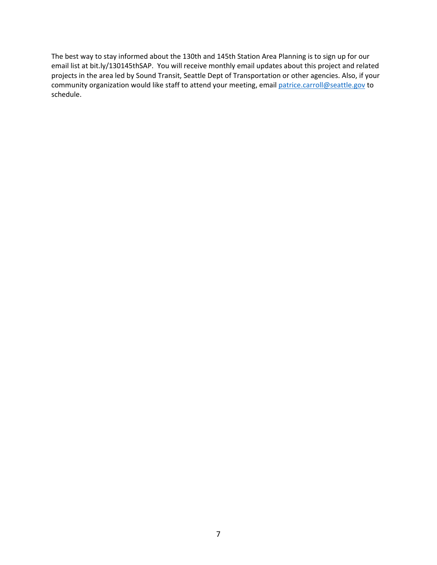The best way to stay informed about the 130th and 145th Station Area Planning is to sign up for our email list at bit.ly/130145thSAP. You will receive monthly email updates about this project and related projects in the area led by Sound Transit, Seattle Dept of Transportation or other agencies. Also, if your community organization would like staff to attend your meeting, email [patrice.carroll@seattle.gov](mailto:patrice.carroll@seattle.gov) to schedule.